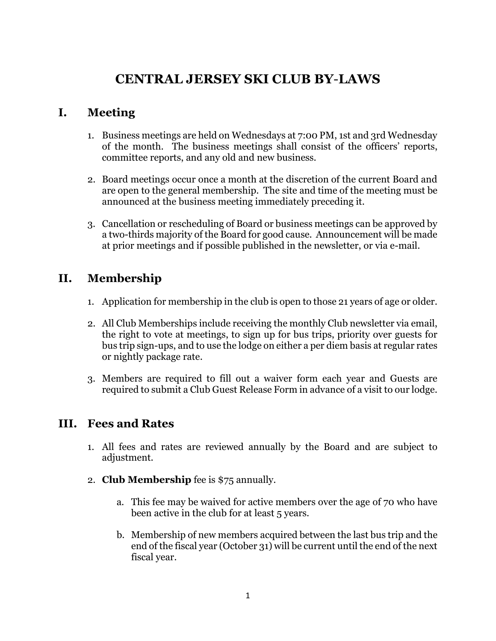# **CENTRAL JERSEY SKI CLUB BY**-**LAWS**

## **I. Meeting**

- 1. Business meetings are held on Wednesdays at 7:00 PM, 1st and 3rd Wednesday of the month. The business meetings shall consist of the officers' reports, committee reports, and any old and new business.
- 2. Board meetings occur once a month at the discretion of the current Board and are open to the general membership. The site and time of the meeting must be announced at the business meeting immediately preceding it.
- 3. Cancellation or rescheduling of Board or business meetings can be approved by a two-thirds majority of the Board for good cause. Announcement will be made at prior meetings and if possible published in the newsletter, or via e-mail.

# **II. Membership**

- 1. Application for membership in the club is open to those 21 years of age or older.
- 2. All Club Memberships include receiving the monthly Club newsletter via email, the right to vote at meetings, to sign up for bus trips, priority over guests for bus trip sign-ups, and to use the lodge on either a per diem basis at regular rates or nightly package rate.
- 3. Members are required to fill out a waiver form each year and Guests are required to submit a Club Guest Release Form in advance of a visit to our lodge.

### **III. Fees and Rates**

- 1. All fees and rates are reviewed annually by the Board and are subject to adjustment.
- 2. **Club Membership** fee is \$75 annually.
	- a. This fee may be waived for active members over the age of 70 who have been active in the club for at least 5 years.
	- b. Membership of new members acquired between the last bus trip and the end of the fiscal year (October 31) will be current until the end of the next fiscal year.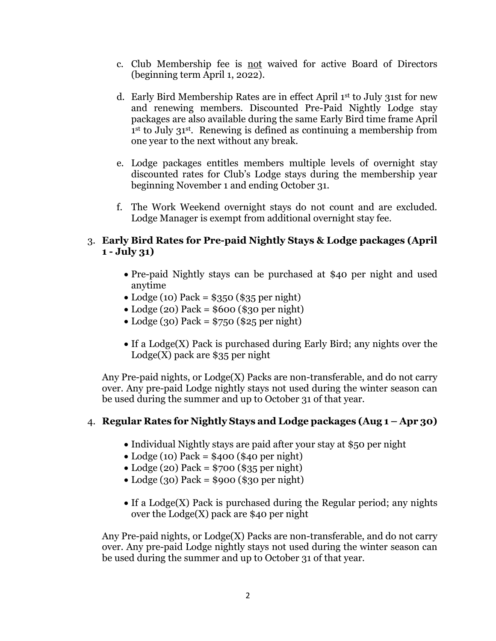- c. Club Membership fee is not waived for active Board of Directors (beginning term April 1, 2022).
- d. Early Bird Membership Rates are in effect April 1 st to July 31st for new and renewing members. Discounted Pre-Paid Nightly Lodge stay packages are also available during the same Early Bird time frame April 1 st to July 31st . Renewing is defined as continuing a membership from one year to the next without any break.
- e. Lodge packages entitles members multiple levels of overnight stay discounted rates for Club's Lodge stays during the membership year beginning November 1 and ending October 31.
- f. The Work Weekend overnight stays do not count and are excluded. Lodge Manager is exempt from additional overnight stay fee.

#### 3. **Early Bird Rates for Pre-paid Nightly Stays & Lodge packages (April 1 - July 31)**

- Pre-paid Nightly stays can be purchased at \$40 per night and used anytime
- Lodge (10) Pack =  $$350 ($35 per night)$
- $\bullet$  Lodge (20) Pack = \$600 (\$30 per night)
- Lodge (30) Pack =  $$750$  (\$25 per night)
- $\bullet$  If a Lodge(X) Pack is purchased during Early Bird; any nights over the  $\text{Lodge}(X)$  pack are \$35 per night

Any Pre-paid nights, or Lodge(X) Packs are non-transferable, and do not carry over. Any pre-paid Lodge nightly stays not used during the winter season can be used during the summer and up to October 31 of that year.

#### 4. **Regular Rates for Nightly Stays and Lodge packages (Aug 1 – Apr 30)**

- Individual Nightly stays are paid after your stay at \$50 per night
- $\bullet$  Lodge (10) Pack = \$400 (\$40 per night)
- $\bullet$  Lodge (20) Pack = \$700 (\$35 per night)
- $\bullet$  Lodge (30) Pack = \$900 (\$30 per night)
- $\bullet$  If a Lodge(X) Pack is purchased during the Regular period; any nights over the Lodge(X) pack are \$40 per night

Any Pre-paid nights, or Lodge(X) Packs are non-transferable, and do not carry over. Any pre-paid Lodge nightly stays not used during the winter season can be used during the summer and up to October 31 of that year.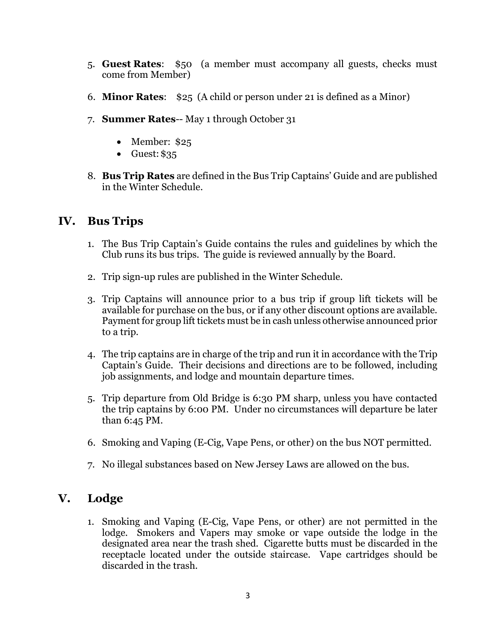- 5. **Guest Rates**: \$50 (a member must accompany all guests, checks must come from Member)
- 6. **Minor Rates**: \$25 (A child or person under 21 is defined as a Minor)
- 7. **Summer Rates**-- May 1 through October 31
	- Member: \$25
	- $\bullet$  Guest: \$35
- 8. **Bus Trip Rates** are defined in the Bus Trip Captains' Guide and are published in the Winter Schedule.

### **IV. Bus Trips**

- 1. The Bus Trip Captain's Guide contains the rules and guidelines by which the Club runs its bus trips. The guide is reviewed annually by the Board.
- 2. Trip sign-up rules are published in the Winter Schedule.
- 3. Trip Captains will announce prior to a bus trip if group lift tickets will be available for purchase on the bus, or if any other discount options are available. Payment for group lift tickets must be in cash unless otherwise announced prior to a trip.
- 4. The trip captains are in charge of the trip and run it in accordance with the Trip Captain's Guide. Their decisions and directions are to be followed, including job assignments, and lodge and mountain departure times.
- 5. Trip departure from Old Bridge is 6:30 PM sharp, unless you have contacted the trip captains by 6:00 PM. Under no circumstances will departure be later than 6:45 PM.
- 6. Smoking and Vaping (E-Cig, Vape Pens, or other) on the bus NOT permitted.
- 7. No illegal substances based on New Jersey Laws are allowed on the bus.

# **V. Lodge**

1. Smoking and Vaping (E-Cig, Vape Pens, or other) are not permitted in the lodge. Smokers and Vapers may smoke or vape outside the lodge in the designated area near the trash shed. Cigarette butts must be discarded in the receptacle located under the outside staircase. Vape cartridges should be discarded in the trash.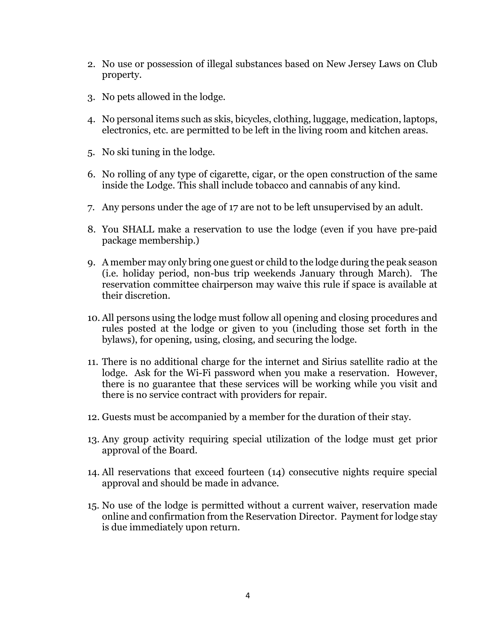- 2. No use or possession of illegal substances based on New Jersey Laws on Club property.
- 3. No pets allowed in the lodge.
- 4. No personal items such as skis, bicycles, clothing, luggage, medication, laptops, electronics, etc. are permitted to be left in the living room and kitchen areas.
- 5. No ski tuning in the lodge.
- 6. No rolling of any type of cigarette, cigar, or the open construction of the same inside the Lodge. This shall include tobacco and cannabis of any kind.
- 7. Any persons under the age of 17 are not to be left unsupervised by an adult.
- 8. You SHALL make a reservation to use the lodge (even if you have pre-paid package membership.)
- 9. A member may only bring one guest or child to the lodge during the peak season (i.e. holiday period, non-bus trip weekends January through March). The reservation committee chairperson may waive this rule if space is available at their discretion.
- 10. All persons using the lodge must follow all opening and closing procedures and rules posted at the lodge or given to you (including those set forth in the bylaws), for opening, using, closing, and securing the lodge.
- 11. There is no additional charge for the internet and Sirius satellite radio at the lodge. Ask for the Wi-Fi password when you make a reservation. However, there is no guarantee that these services will be working while you visit and there is no service contract with providers for repair.
- 12. Guests must be accompanied by a member for the duration of their stay.
- 13. Any group activity requiring special utilization of the lodge must get prior approval of the Board.
- 14. All reservations that exceed fourteen (14) consecutive nights require special approval and should be made in advance.
- 15. No use of the lodge is permitted without a current waiver, reservation made online and confirmation from the Reservation Director. Payment for lodge stay is due immediately upon return.